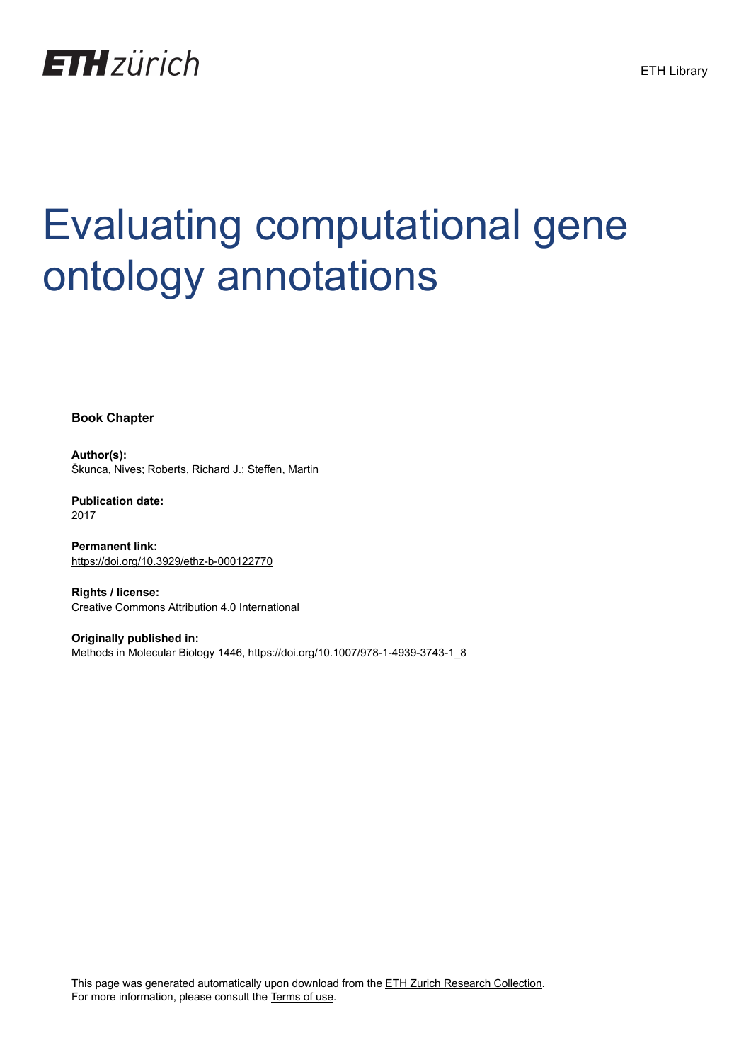

# Evaluating computational gene ontology annotations

**Book Chapter**

**Author(s):** Škunca, Nives; Roberts, Richard J.; Steffen, Martin

**Publication date:** 2017

**Permanent link:** <https://doi.org/10.3929/ethz-b-000122770>

**Rights / license:** [Creative Commons Attribution 4.0 International](http://creativecommons.org/licenses/by/4.0/)

**Originally published in:** Methods in Molecular Biology 1446, [https://doi.org/10.1007/978-1-4939-3743-1\\_8](https://doi.org/10.1007/978-1-4939-3743-1_8)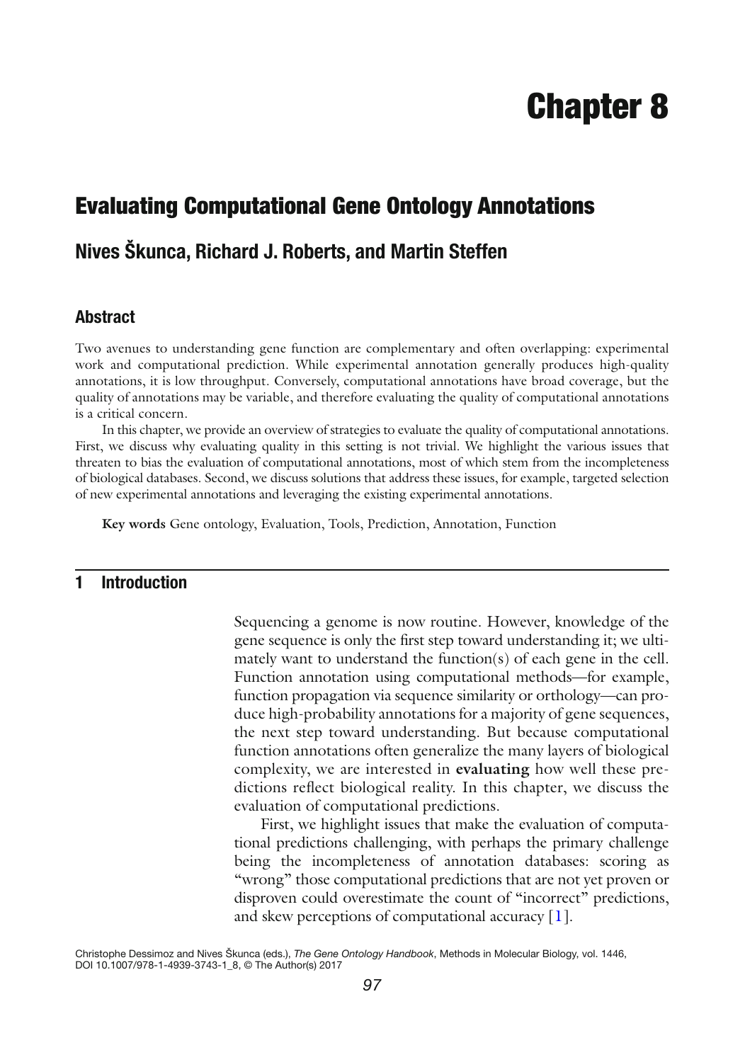# **Chapter 8**

## **Evaluating Computational Gene Ontology Annotations**

### **Nives Škunca , Richard J. Roberts , and Martin Steffen**

#### **Abstract**

Two avenues to understanding gene function are complementary and often overlapping: experimental work and computational prediction. While experimental annotation generally produces high-quality annotations, it is low throughput. Conversely, computational annotations have broad coverage, but the quality of annotations may be variable, and therefore evaluating the quality of computational annotations is a critical concern.

In this chapter, we provide an overview of strategies to evaluate the quality of computational annotations. First, we discuss why evaluating quality in this setting is not trivial. We highlight the various issues that threaten to bias the evaluation of computational annotations, most of which stem from the incompleteness of biological databases. Second, we discuss solutions that address these issues, for example, targeted selection of new experimental annotations and leveraging the existing experimental annotations.

Key words Gene ontology, Evaluation, Tools, Prediction, Annotation, Function

#### **1 Introduction**

Sequencing a genome is now routine. However, knowledge of the gene sequence is only the first step toward understanding it; we ultimately want to understand the function(s) of each gene in the cell. Function annotation using computational methods—for example, function propagation via sequence similarity or orthology—can produce high-probability annotations for a majority of gene sequences, the next step toward understanding. But because computational function annotations often generalize the many layers of biological complexity, we are interested in **evaluating** how well these predictions reflect biological reality. In this chapter, we discuss the evaluation of computational predictions.

First, we highlight issues that make the evaluation of computational predictions challenging, with perhaps the primary challenge being the incompleteness of annotation databases: scoring as "wrong" those computational predictions that are not yet proven or disproven could overestimate the count of "incorrect" predictions, and skew perceptions of computational accuracy  $[1]$ .

Christophe Dessimoz and Nives Škunca (eds.), *The Gene Ontology Handbook*, Methods in Molecular Biology, vol. 1446, DOI 10.1007/978-1-4939-3743-1\_8, © The Author(s) 2017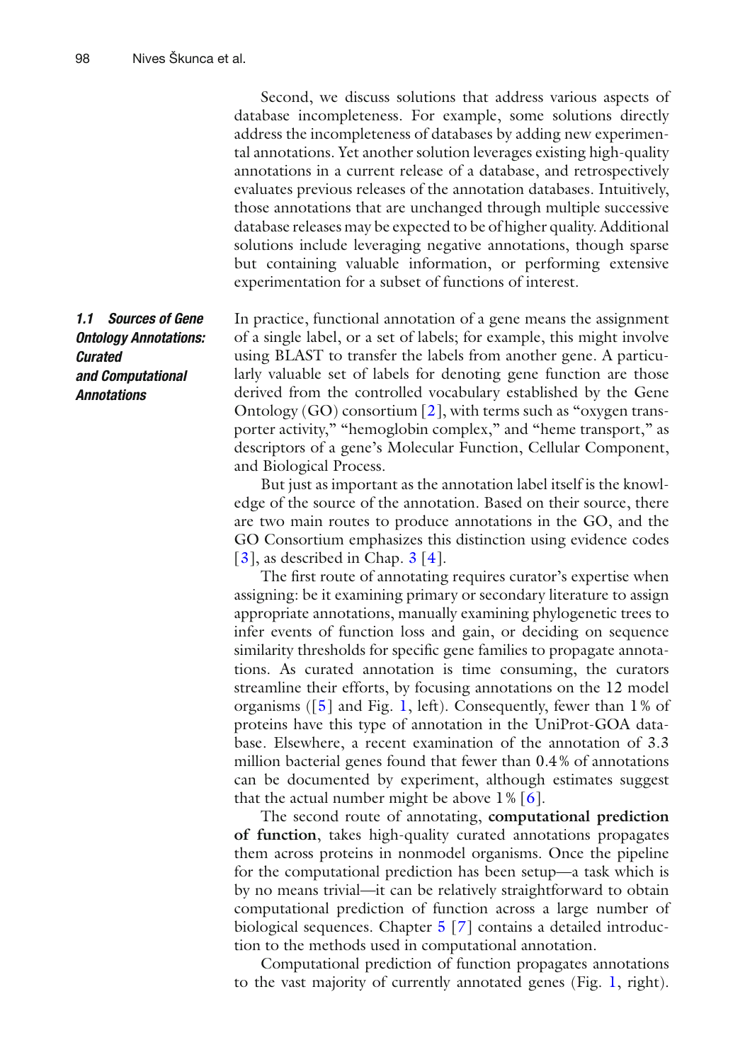Second, we discuss solutions that address various aspects of database incompleteness. For example, some solutions directly address the incompleteness of databases by adding new experimental annotations. Yet another solution leverages existing high- quality annotations in a current release of a database, and retrospectively evaluates previous releases of the annotation databases. Intuitively, those annotations that are unchanged through multiple successive database releases may be expected to be of higher quality. Additional solutions include leveraging negative annotations, though sparse but containing valuable information, or performing extensive experimentation for a subset of functions of interest.

In practice, functional annotation of a gene means the assignment of a single label, or a set of labels; for example, this might involve using BLAST to transfer the labels from another gene. A particularly valuable set of labels for denoting gene function are those derived from the controlled vocabulary established by the Gene Ontology (GO) consortium  $[2]$ , with terms such as "oxygen transporter activity," "hemoglobin complex," and "heme transport," as descriptors of a gene's Molecular Function, Cellular Component, and Biological Process.

But just as important as the annotation label itself is the knowledge of the source of the annotation. Based on their source, there are two main routes to produce annotations in the GO, and the GO Consortium emphasizes this distinction using evidence codes  $[3]$  $[3]$  $[3]$ , as described in Chap. 3[4].

The first route of annotating requires curator's expertise when assigning: be it examining primary or secondary literature to assign appropriate annotations, manually examining phylogenetic trees to infer events of function loss and gain, or deciding on sequence similarity thresholds for specific gene families to propagate annotations. As curated annotation is time consuming, the curators streamline their efforts, by focusing annotations on the 12 model organisms ( $[5]$  and Fig. [1](#page-3-0), left). Consequently, fewer than 1% of proteins have this type of annotation in the UniProt-GOA database. Elsewhere, a recent examination of the annotation of 3.3 million bacterial genes found that fewer than 0.4 % of annotations can be documented by experiment, although estimates suggest that the actual number might be above  $1\%$  [6].

The second route of annotating, **computational prediction of function**, takes high-quality curated annotations propagates them across proteins in nonmodel organisms. Once the pipeline for the computational prediction has been setup—a task which is by no means trivial—it can be relatively straightforward to obtain computational prediction of function across a large number of biological sequences. Chapter [5](http://dx.doi.org/10.1007/978-1-4939-3743-1_5) [7] contains a detailed introduction to the methods used in computational annotation.

Computational prediction of function propagates annotations to the vast majority of currently annotated genes (Fig. [1](#page-3-0), right).

*1.1 Sources of Gene Ontology Annotations: Curated and Computational Annotations*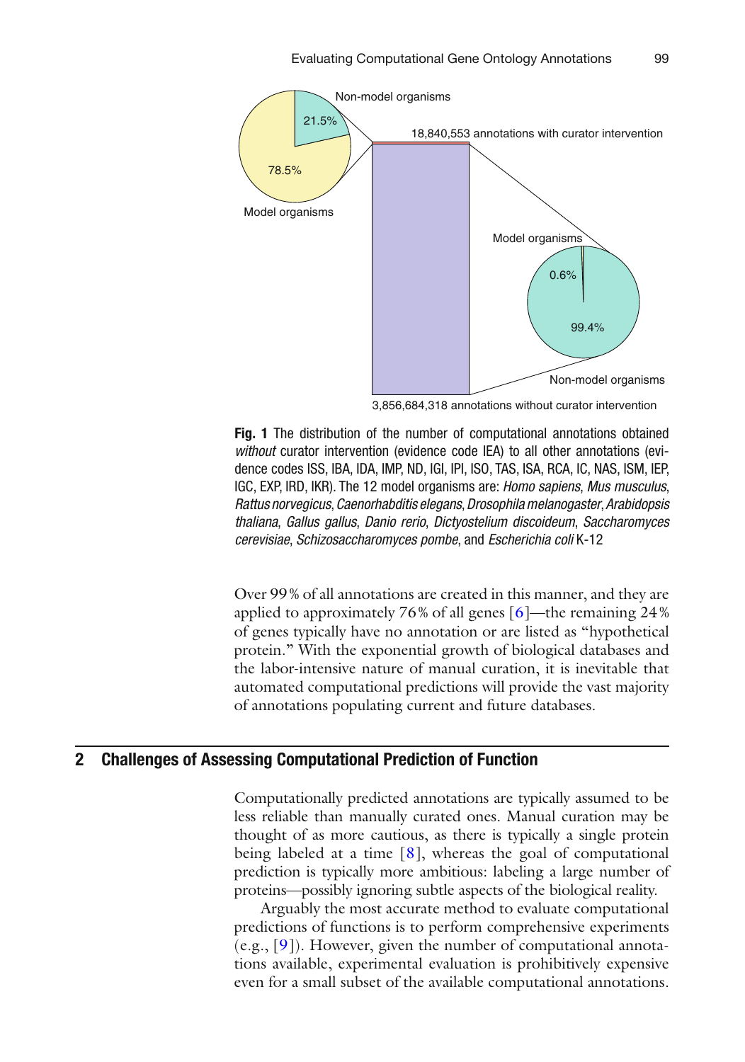<span id="page-3-0"></span>

3,856,684,318 annotations without curator intervention

 **Fig. 1** The distribution of the number of computational annotations obtained *without* curator intervention (evidence code IEA) to all other annotations (evidence codes ISS, IBA, IDA, IMP, ND, IGI, IPI, ISO, TAS, ISA, RCA, IC, NAS, ISM, IEP, IGC, EXP, IRD, IKR). The 12 model organisms are: *Homo sapiens* , *Mus musculus* , *Rattus norvegicus* , *Caenorhabditis elegans* , *Drosophila melanogaster* , *Arabidopsis thaliana* , *Gallus gallus* , *Danio rerio* , *Dictyostelium discoideum* , *Saccharomyces cerevisiae* , *Schizosaccharomyces pombe* , and *Escherichia coli* K-12

Over 99 % of all annotations are created in this manner, and they are applied to approximately 76% of all genes  $[6]$ —the remaining 24% of genes typically have no annotation or are listed as "hypothetical protein." With the exponential growth of biological databases and the labor-intensive nature of manual curation, it is inevitable that automated computational predictions will provide the vast majority of annotations populating current and future databases.

#### **2 Challenges of Assessing Computational Prediction of Function**

Computationally predicted annotations are typically assumed to be less reliable than manually curated ones. Manual curation may be thought of as more cautious, as there is typically a single protein being labeled at a time  $[8]$ , whereas the goal of computational prediction is typically more ambitious: labeling a large number of proteins—possibly ignoring subtle aspects of the biological reality.

Arguably the most accurate method to evaluate computational predictions of functions is to perform comprehensive experiments  $(e.g., [9])$ . However, given the number of computational annotations available, experimental evaluation is prohibitively expensive even for a small subset of the available computational annotations.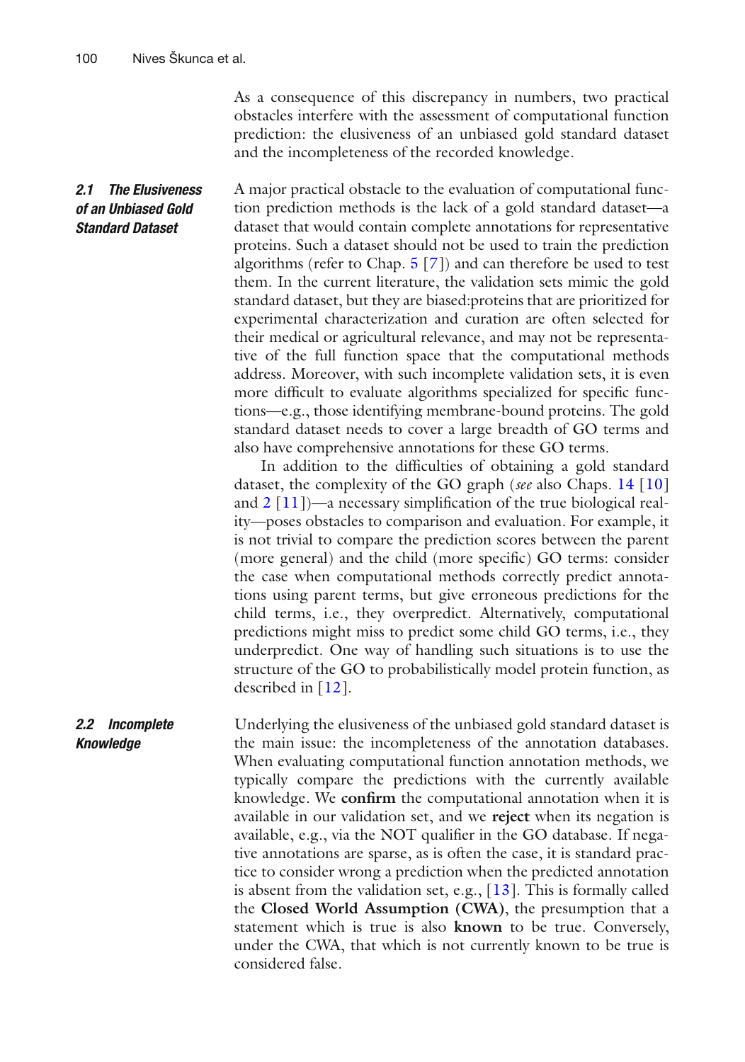As a consequence of this discrepancy in numbers, two practical obstacles interfere with the assessment of computational function prediction: the elusiveness of an unbiased gold standard dataset and the incompleteness of the recorded knowledge.

A major practical obstacle to the evaluation of computational function prediction methods is the lack of a gold standard dataset—a dataset that would contain complete annotations for representative proteins. Such a dataset should not be used to train the prediction algorithms (refer to Chap.  $5[7]$  $5[7]$ ) and can therefore be used to test them. In the current literature, the validation sets mimic the gold standard dataset, but they are biased:proteins that are prioritized for experimental characterization and curation are often selected for their medical or agricultural relevance, and may not be representative of the full function space that the computational methods address. Moreover, with such incomplete validation sets, it is even more difficult to evaluate algorithms specialized for specific functions—e.g., those identifying membrane-bound proteins. The gold standard dataset needs to cover a large breadth of GO terms and also have comprehensive annotations for these GO terms. *2.1 The Elusiveness of an Unbiased Gold Standard Dataset*

> In addition to the difficulties of obtaining a gold standard dataset, the complexity of the GO graph (*see* also Chaps. [14](http://dx.doi.org/10.1007/978-1-4939-3743-1_14) [10] and  $2$  [11])—a necessary simplification of the true biological reality—poses obstacles to comparison and evaluation. For example, it is not trivial to compare the prediction scores between the parent (more general) and the child (more specific) GO terms: consider the case when computational methods correctly predict annotations using parent terms, but give erroneous predictions for the child terms, i.e., they overpredict. Alternatively, computational predictions might miss to predict some child GO terms, i.e., they underpredict. One way of handling such situations is to use the structure of the GO to probabilistically model protein function, as described in [12].

Underlying the elusiveness of the unbiased gold standard dataset is the main issue: the incompleteness of the annotation databases. When evaluating computational function annotation methods, we typically compare the predictions with the currently available knowledge. We **confirm** the computational annotation when it is available in our validation set, and we **reject** when its negation is available, e.g., via the NOT qualifier in the GO database. If negative annotations are sparse, as is often the case, it is standard practice to consider wrong a prediction when the predicted annotation is absent from the validation set, e.g.,  $[13]$ . This is formally called the **Closed World Assumption (CWA)**, the presumption that a statement which is true is also **known** to be true. Conversely, under the CWA, that which is not currently known to be true is considered false. *2.2 Incomplete Knowledge*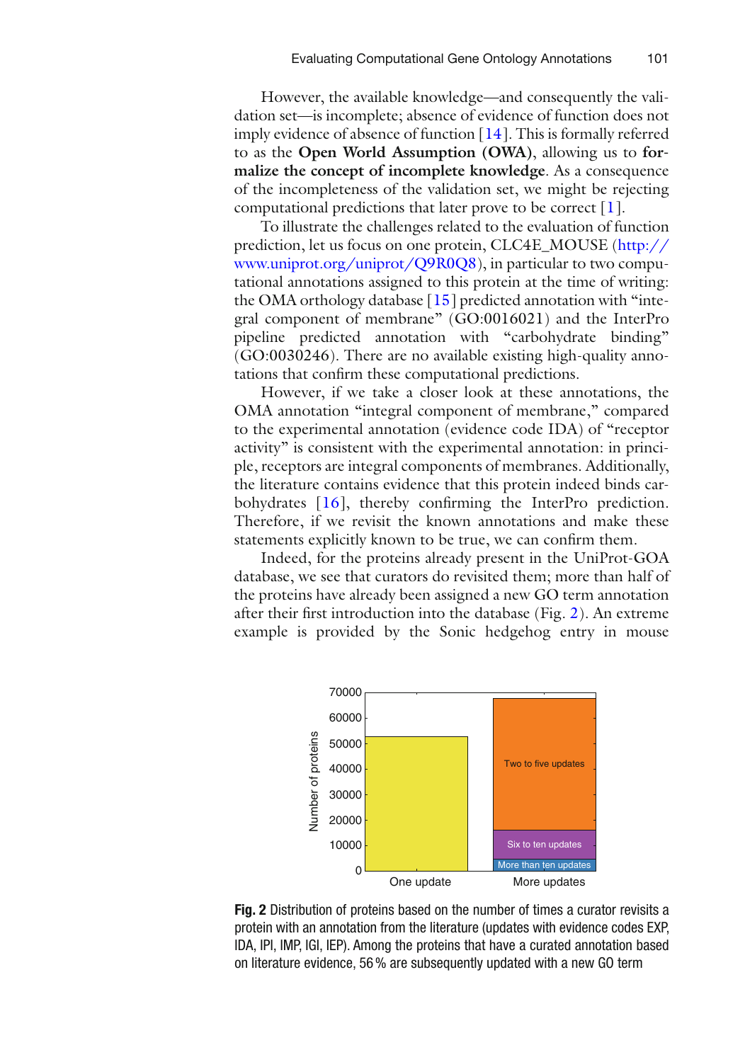However, the available knowledge—and consequently the validation set—is incomplete; absence of evidence of function does not imply evidence of absence of function  $[14]$ . This is formally referred to as the **Open World Assumption (OWA)**, allowing us to **formalize the concept of incomplete knowledge**. As a consequence of the incompleteness of the validation set, we might be rejecting computational predictions that later prove to be correct [1].

To illustrate the challenges related to the evaluation of function prediction, let us focus on one protein, CLC4E\_MOUSE ( [http://](http://www.uniprot.org/uniprot/Q9R0Q8) [www.uniprot.org/uniprot/Q9R0Q8](http://www.uniprot.org/uniprot/Q9R0Q8) ), in particular to two computational annotations assigned to this protein at the time of writing: the OMA orthology database  $[15]$  predicted annotation with "integral component of membrane" (GO:0016021) and the InterPro pipeline predicted annotation with "carbohydrate binding" (GO:0030246). There are no available existing high- quality annotations that confirm these computational predictions.

However, if we take a closer look at these annotations, the OMA annotation "integral component of membrane," compared to the experimental annotation (evidence code IDA) of "receptor activity" is consistent with the experimental annotation: in principle, receptors are integral components of membranes. Additionally, the literature contains evidence that this protein indeed binds carbohydrates  $[16]$ , thereby confirming the InterPro prediction. Therefore, if we revisit the known annotations and make these statements explicitly known to be true, we can confirm them.

Indeed, for the proteins already present in the UniProt-GOA database, we see that curators do revisited them; more than half of the proteins have already been assigned a new GO term annotation after their first introduction into the database (Fig.  $2$ ). An extreme example is provided by the Sonic hedgehog entry in mouse



 **Fig. 2** Distribution of proteins based on the number of times a curator revisits a protein with an annotation from the literature (updates with evidence codes EXP, IDA, IPI, IMP, IGI, IEP). Among the proteins that have a curated annotation based on literature evidence, 56 % are subsequently updated with a new GO term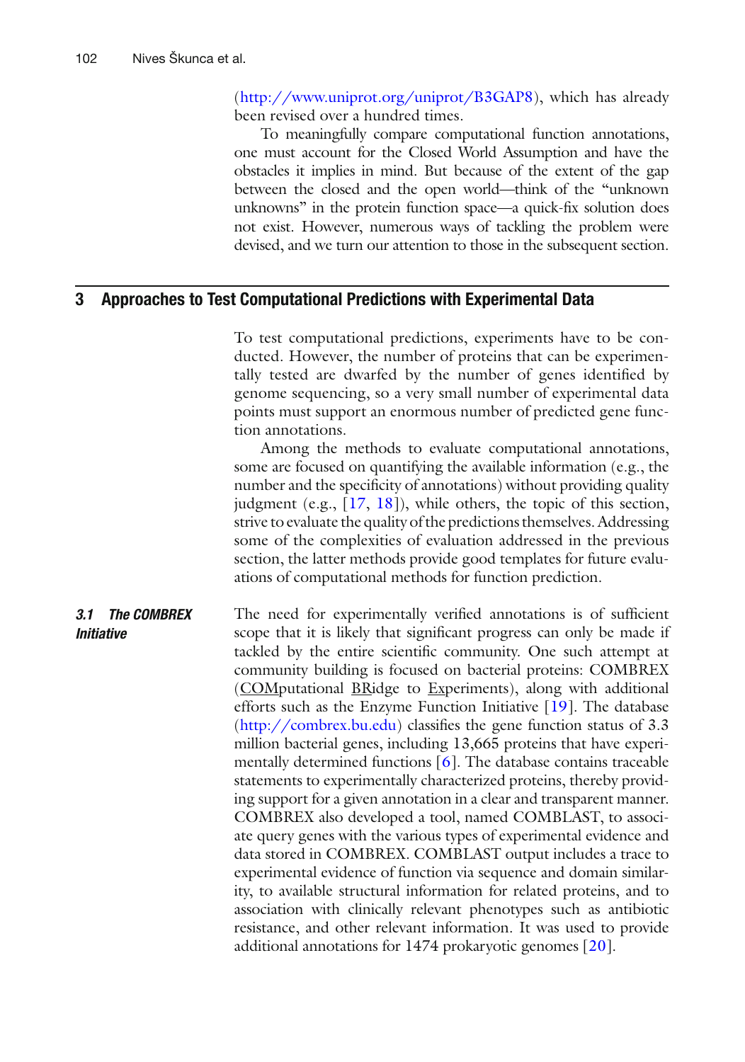(<http://www.uniprot.org/uniprot/B3GAP8> ), which has already been revised over a hundred times.

To meaningfully compare computational function annotations, one must account for the Closed World Assumption and have the obstacles it implies in mind. But because of the extent of the gap between the closed and the open world—think of the "unknown unknowns" in the protein function space—a quick-fix solution does not exist. However, numerous ways of tackling the problem were devised, and we turn our attention to those in the subsequent section.

#### **3 Approaches to Test Computational Predictions with Experimental Data**

To test computational predictions, experiments have to be conducted. However, the number of proteins that can be experimentally tested are dwarfed by the number of genes identified by genome sequencing, so a very small number of experimental data points must support an enormous number of predicted gene function annotations.

Among the methods to evaluate computational annotations, some are focused on quantifying the available information (e.g., the number and the specificity of annotations) without providing quality judgment  $(e.g., [17, 18])$  $(e.g., [17, 18])$  $(e.g., [17, 18])$ , while others, the topic of this section, strive to evaluate the quality of the predictions themselves. Addressing some of the complexities of evaluation addressed in the previous section, the latter methods provide good templates for future evaluations of computational methods for function prediction.

The need for experimentally verified annotations is of sufficient scope that it is likely that significant progress can only be made if tackled by the entire scientific community. One such attempt at community building is focused on bacterial proteins: COMBREX (COM putational BRidge to Experiments), along with additional efforts such as the Enzyme Function Initiative [\[ 19\]](#page-12-0). The database  $(\text{http://complex.bu.edu})$  classifies the gene function status of 3.3 million bacterial genes, including 13,665 proteins that have experimentally determined functions  $[6]$ . The database contains traceable statements to experimentally characterized proteins, thereby providing support for a given annotation in a clear and transparent manner. COMBREX also developed a tool, named COMBLAST, to associate query genes with the various types of experimental evidence and data stored in COMBREX. COMBLAST output includes a trace to experimental evidence of function via sequence and domain similarity, to available structural information for related proteins, and to association with clinically relevant phenotypes such as antibiotic resistance, and other relevant information. It was used to provide additional annotations for 1474 prokaryotic genomes [20]. *3.1 The COMBREX Initiative*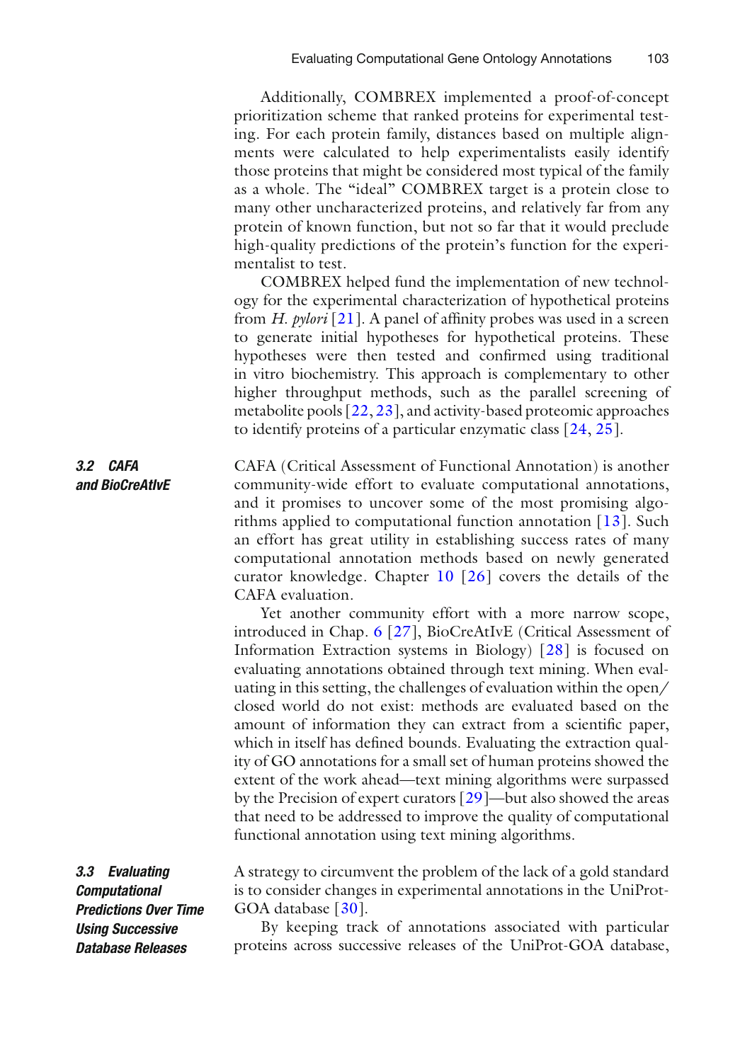Additionally, COMBREX implemented a proof-of-concept prioritization scheme that ranked proteins for experimental testing. For each protein family, distances based on multiple alignments were calculated to help experimentalists easily identify those proteins that might be considered most typical of the family as a whole. The "ideal" COMBREX target is a protein close to many other uncharacterized proteins, and relatively far from any protein of known function, but not so far that it would preclude high-quality predictions of the protein's function for the experimentalist to test.

COMBREX helped fund the implementation of new technology for the experimental characterization of hypothetical proteins from *H. pylori* [21]. A panel of affinity probes was used in a screen to generate initial hypotheses for hypothetical proteins. These hypotheses were then tested and confirmed using traditional in vitro biochemistry. This approach is complementary to other higher throughput methods, such as the parallel screening of metabolite pools [\[ 22, 23\]](#page-12-0), and activity-based proteomic approaches to identify proteins of a particular enzymatic class  $[24, 25]$  $[24, 25]$ .

CAFA (Critical Assessment of Functional Annotation) is another community-wide effort to evaluate computational annotations, and it promises to uncover some of the most promising algorithms applied to computational function annotation  $[13]$ . Such an effort has great utility in establishing success rates of many computational annotation methods based on newly generated curator knowledge. Chapter  $10$  [26] covers the details of the CAFA evaluation. *3.2 CAFA and BioCreAtIvE*

Yet another community effort with a more narrow scope, introduced in Chap. [6](http://dx.doi.org/10.1007/978-1-4939-3743-1_6)[ [27\]](#page-12-0), BioCreAtIvE (Critical Assessment of Information Extraction systems in Biology)  $[28]$  is focused on evaluating annotations obtained through text mining. When evaluating in this setting, the challenges of evaluation within the open/ closed world do not exist: methods are evaluated based on the amount of information they can extract from a scientific paper, which in itself has defined bounds. Evaluating the extraction quality of GO annotations for a small set of human proteins showed the extent of the work ahead—text mining algorithms were surpassed by the Precision of expert curators [ [29](#page-13-0)]—but also showed the areas that need to be addressed to improve the quality of computational functional annotation using text mining algorithms.

*3.3 Evaluating Computational Predictions Over Time Using Successive Database Releases*

A strategy to circumvent the problem of the lack of a gold standard is to consider changes in experimental annotations in the UniProt-GOA database  $\lceil 30 \rceil$ .

By keeping track of annotations associated with particular proteins across successive releases of the UniProt-GOA database,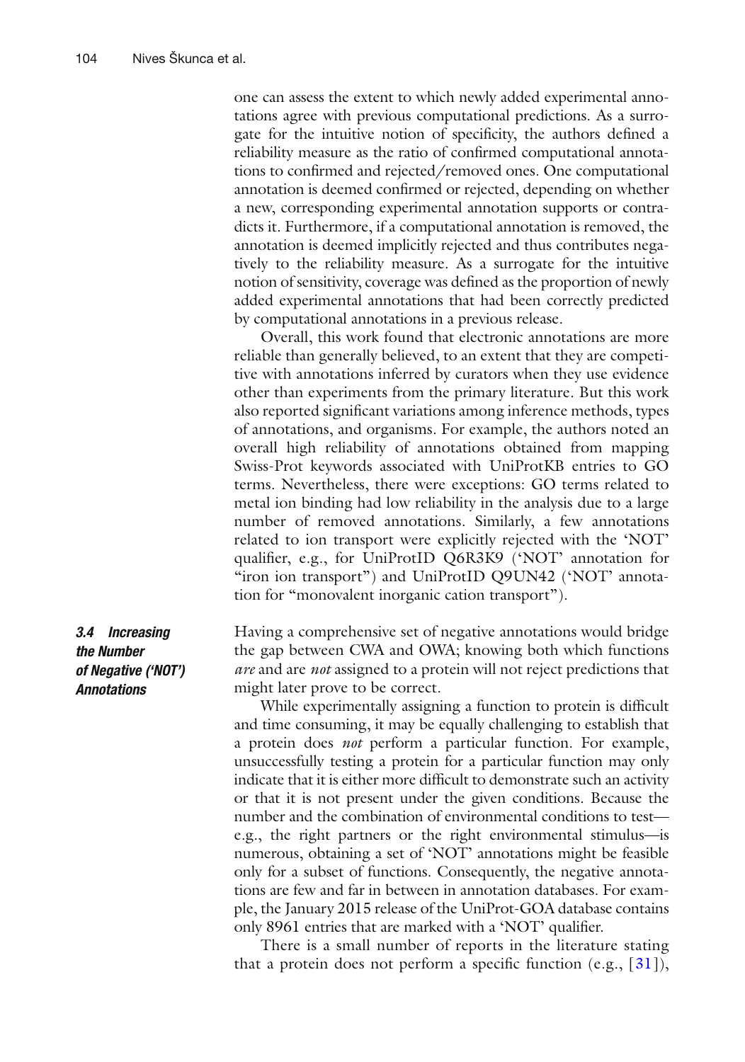one can assess the extent to which newly added experimental annotations agree with previous computational predictions. As a surrogate for the intuitive notion of specificity, the authors defined a reliability measure as the ratio of confirmed computational annotations to confirmed and rejected/removed ones. One computational annotation is deemed confirmed or rejected, depending on whether a new, corresponding experimental annotation supports or contradicts it. Furthermore, if a computational annotation is removed, the annotation is deemed implicitly rejected and thus contributes negatively to the reliability measure. As a surrogate for the intuitive notion of sensitivity, coverage was defined as the proportion of newly added experimental annotations that had been correctly predicted by computational annotations in a previous release.

Overall, this work found that electronic annotations are more reliable than generally believed, to an extent that they are competitive with annotations inferred by curators when they use evidence other than experiments from the primary literature. But this work also reported significant variations among inference methods, types of annotations, and organisms. For example, the authors noted an overall high reliability of annotations obtained from mapping Swiss-Prot keywords associated with UniProtKB entries to GO terms. Nevertheless, there were exceptions: GO terms related to metal ion binding had low reliability in the analysis due to a large number of removed annotations. Similarly, a few annotations related to ion transport were explicitly rejected with the 'NOT' qualifier, e.g., for UniProtID Q6R3K9 ('NOT' annotation for "iron ion transport") and UniProtID Q9UN42 ('NOT' annotation for "monovalent inorganic cation transport").

Having a comprehensive set of negative annotations would bridge the gap between CWA and OWA; knowing both which functions *are* and are *not* assigned to a protein will not reject predictions that might later prove to be correct.

While experimentally assigning a function to protein is difficult and time consuming, it may be equally challenging to establish that a protein does *not* perform a particular function. For example, unsuccessfully testing a protein for a particular function may only indicate that it is either more difficult to demonstrate such an activity or that it is not present under the given conditions. Because the number and the combination of environmental conditions to test e.g., the right partners or the right environmental stimulus—is numerous, obtaining a set of 'NOT' annotations might be feasible only for a subset of functions. Consequently, the negative annotations are few and far in between in annotation databases. For example, the January 2015 release of the UniProt-GOA database contains only 8961 entries that are marked with a 'NOT' qualifier.

There is a small number of reports in the literature stating that a protein does not perform a specific function (e.g.,  $[31]$ ),

*3.4 Increasing the Number of Negative ('NOT') Annotations*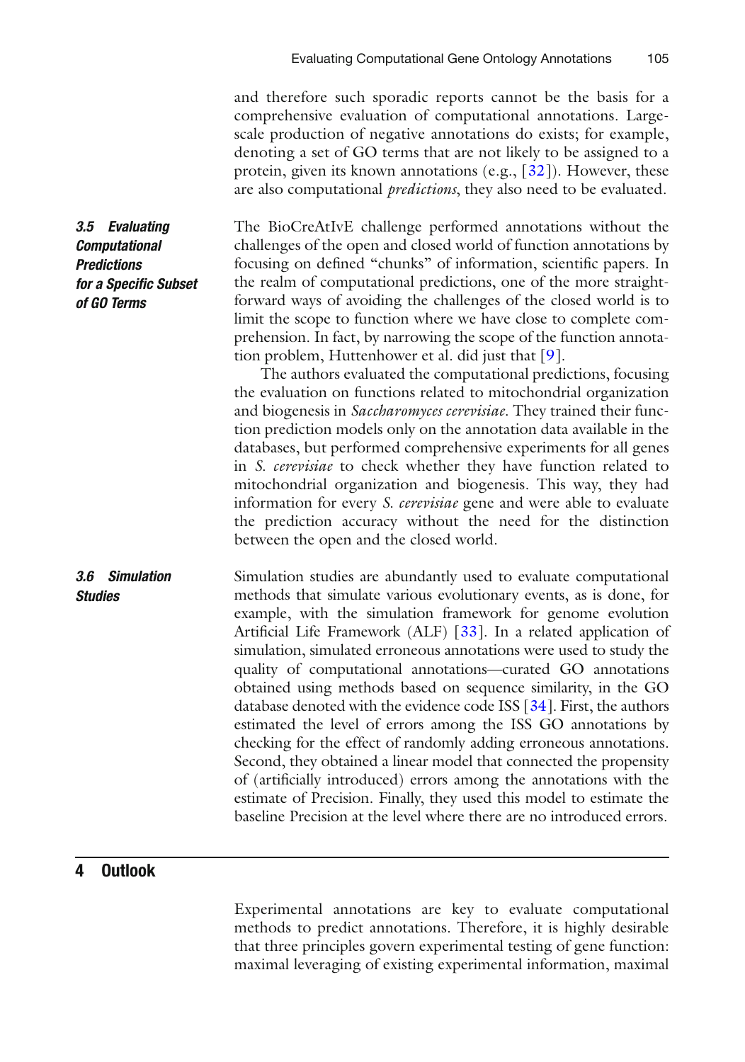and therefore such sporadic reports cannot be the basis for a comprehensive evaluation of computational annotations. Largescale production of negative annotations do exists; for example, denoting a set of GO terms that are not likely to be assigned to a protein, given its known annotations  $(e.g., [32])$ . However, these are also computational *predictions*, they also need to be evaluated.

The BioCreAtIvE challenge performed annotations without the challenges of the open and closed world of function annotations by focusing on defined "chunks" of information, scientific papers. In the realm of computational predictions, one of the more straightforward ways of avoiding the challenges of the closed world is to limit the scope to function where we have close to complete comprehension. In fact, by narrowing the scope of the function annotation problem, Huttenhower et al. did just that  $[9]$ .

> The authors evaluated the computational predictions, focusing the evaluation on functions related to mitochondrial organization and biogenesis in *Saccharomyces cerevisiae*. They trained their function prediction models only on the annotation data available in the databases, but performed comprehensive experiments for all genes in *S. cerevisiae* to check whether they have function related to mitochondrial organization and biogenesis. This way, they had information for every *S. cerevisiae* gene and were able to evaluate the prediction accuracy without the need for the distinction between the open and the closed world.

Simulation studies are abundantly used to evaluate computational methods that simulate various evolutionary events, as is done, for example, with the simulation framework for genome evolution Artificial Life Framework (ALF)  $\left[33\right]$ . In a related application of simulation, simulated erroneous annotations were used to study the quality of computational annotations—curated GO annotations obtained using methods based on sequence similarity, in the GO database denoted with the evidence code ISS [\[ 34](#page-13-0)]. First, the authors estimated the level of errors among the ISS GO annotations by checking for the effect of randomly adding erroneous annotations. Second, they obtained a linear model that connected the propensity of (artificially introduced) errors among the annotations with the estimate of Precision. Finally, they used this model to estimate the baseline Precision at the level where there are no introduced errors. *3.6 Simulation Studies*

#### **4 Outlook**

Experimental annotations are key to evaluate computational methods to predict annotations. Therefore, it is highly desirable that three principles govern experimental testing of gene function: maximal leveraging of existing experimental information, maximal

*3.5 Evaluating Computational Predictions*  **for a Specific Subset** *of GO Terms*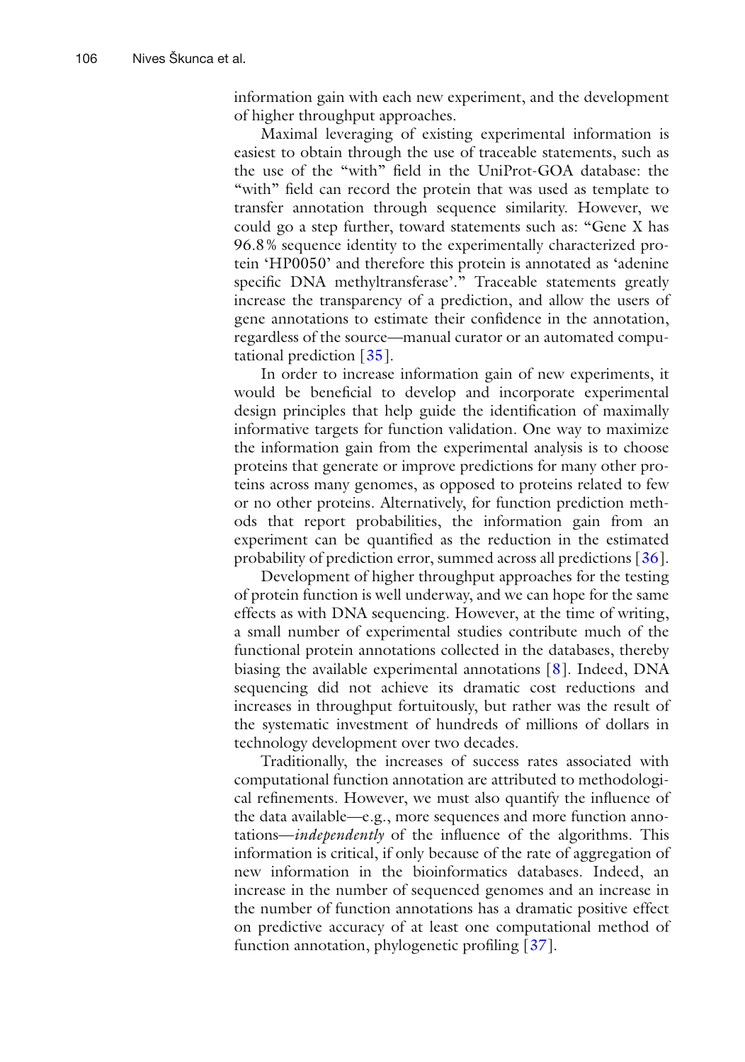information gain with each new experiment, and the development of higher throughput approaches.

Maximal leveraging of existing experimental information is easiest to obtain through the use of traceable statements, such as the use of the "with" field in the UniProt-GOA database: the "with" field can record the protein that was used as template to transfer annotation through sequence similarity. However, we could go a step further, toward statements such as: "Gene X has 96.8 % sequence identity to the experimentally characterized protein 'HP0050' and therefore this protein is annotated as 'adenine specific DNA methyltransferase'." Traceable statements greatly increase the transparency of a prediction, and allow the users of gene annotations to estimate their confidence in the annotation, regardless of the source—manual curator or an automated computational prediction [\[ 35\]](#page-13-0).

In order to increase information gain of new experiments, it would be beneficial to develop and incorporate experimental design principles that help guide the identification of maximally informative targets for function validation. One way to maximize the information gain from the experimental analysis is to choose proteins that generate or improve predictions for many other proteins across many genomes, as opposed to proteins related to few or no other proteins. Alternatively, for function prediction methods that report probabilities, the information gain from an experiment can be quantified as the reduction in the estimated probability of prediction error, summed across all predictions [ [36](#page-13-0)].

Development of higher throughput approaches for the testing of protein function is well underway, and we can hope for the same effects as with DNA sequencing. However, at the time of writing, a small number of experimental studies contribute much of the functional protein annotations collected in the databases, thereby biasing the available experimental annotations  $[8]$ . Indeed, DNA sequencing did not achieve its dramatic cost reductions and increases in throughput fortuitously, but rather was the result of the systematic investment of hundreds of millions of dollars in technology development over two decades.

Traditionally, the increases of success rates associated with computational function annotation are attributed to methodological refinements. However, we must also quantify the influence of the data available—e.g., more sequences and more function annotations—*independently* of the influence of the algorithms. This information is critical, if only because of the rate of aggregation of new information in the bioinformatics databases. Indeed, an increase in the number of sequenced genomes and an increase in the number of function annotations has a dramatic positive effect on predictive accuracy of at least one computational method of function annotation, phylogenetic profiling  $[37]$ .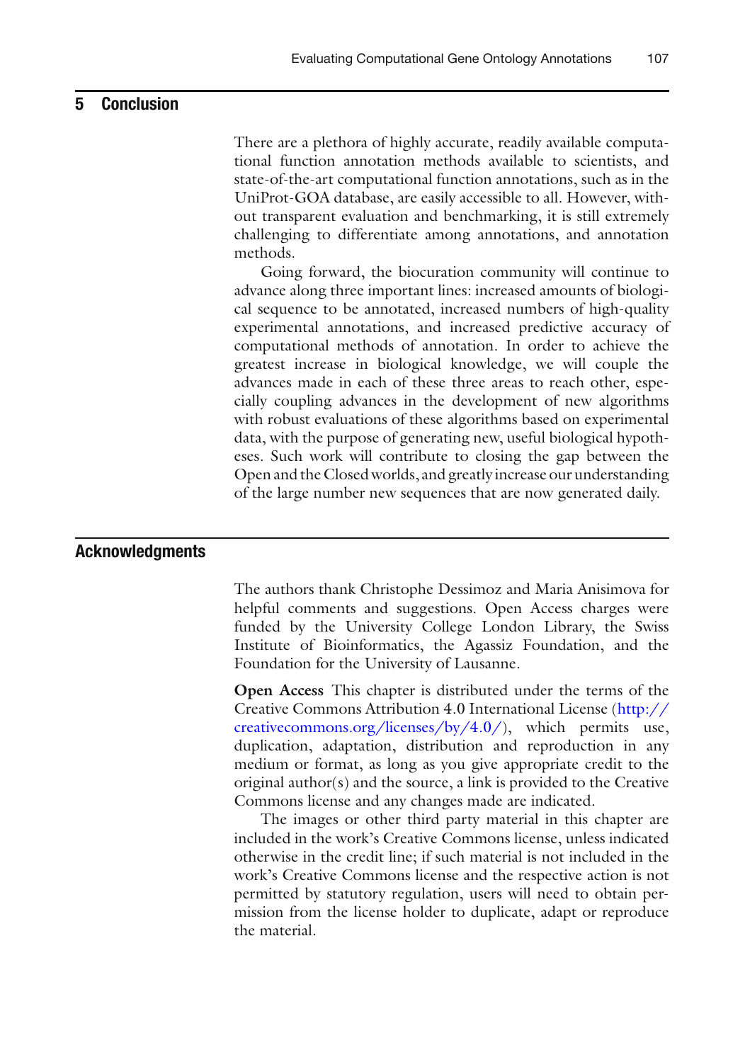#### **5 Conclusion**

There are a plethora of highly accurate, readily available computational function annotation methods available to scientists, and state-of-the-art computational function annotations, such as in the UniProt-GOA database, are easily accessible to all. However, without transparent evaluation and benchmarking, it is still extremely challenging to differentiate among annotations, and annotation methods.

Going forward, the biocuration community will continue to advance along three important lines: increased amounts of biological sequence to be annotated, increased numbers of high-quality experimental annotations, and increased predictive accuracy of computational methods of annotation. In order to achieve the greatest increase in biological knowledge, we will couple the advances made in each of these three areas to reach other, especially coupling advances in the development of new algorithms with robust evaluations of these algorithms based on experimental data, with the purpose of generating new, useful biological hypotheses. Such work will contribute to closing the gap between the Open and the Closed worlds, and greatly increase our understanding of the large number new sequences that are now generated daily.

#### **Acknowledgments**

The authors thank Christophe Dessimoz and Maria Anisimova for helpful comments and suggestions. Open Access charges were funded by the University College London Library, the Swiss Institute of Bioinformatics, the Agassiz Foundation, and the Foundation for the University of Lausanne.

**Open Access** This chapter is distributed under the terms of the Creative Commons Attribution 4.0 International License [\( http://](http://creativecommons.org/licenses/by/4.0/) [creativecommons.org/licenses/by/4.0/](http://creativecommons.org/licenses/by/4.0/) [\)](http://creativecommons.org/licenses/by/4.0/), which permits use, duplication, adaptation, distribution and reproduction in any medium or format, as long as you give appropriate credit to the original author(s) and the source, a link is provided to the Creative Commons license and any changes made are indicated.

The images or other third party material in this chapter are included in the work's Creative Commons license, unless indicated otherwise in the credit line; if such material is not included in the work's Creative Commons license and the respective action is not permitted by statutory regulation, users will need to obtain permission from the license holder to duplicate, adapt or reproduce the material.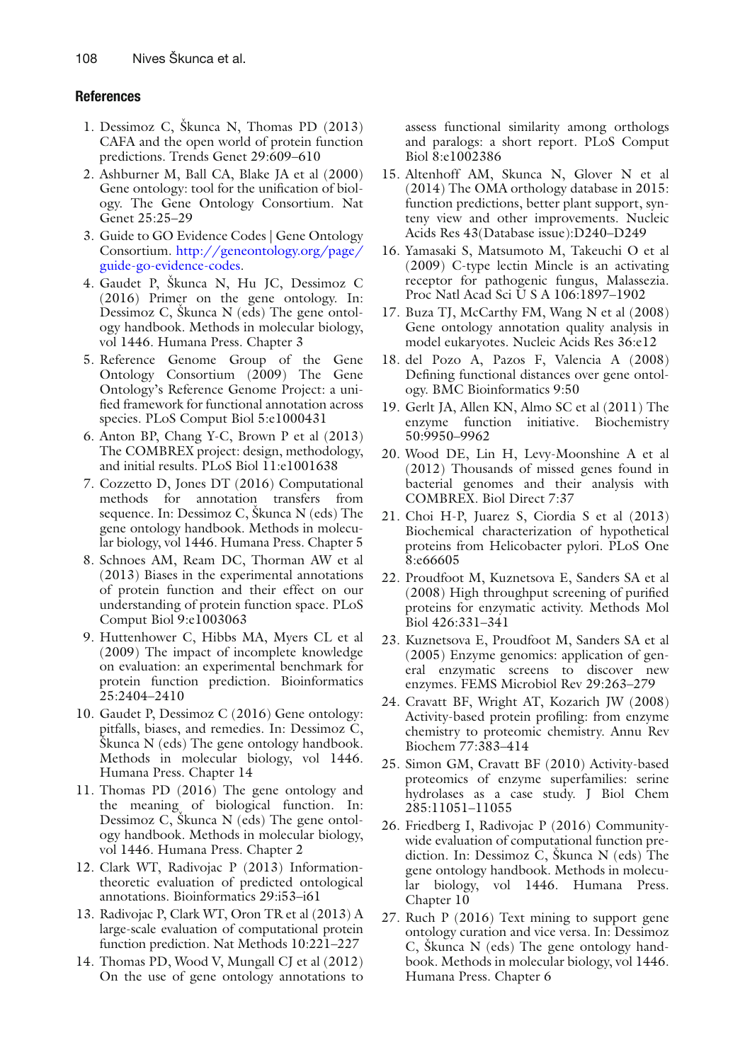#### <span id="page-12-0"></span> **References**

- 1. Dessimoz C, Škunca N, Thomas PD (2013) CAFA and the open world of protein function predictions. Trends Genet 29:609–610
- 2. Ashburner M, Ball CA, Blake JA et al (2000) Gene ontology: tool for the unification of biology. The Gene Ontology Consortium. Nat Genet 25:25–29
- 3. Guide to GO Evidence Codes | Gene Ontology Consortium. [http://geneontology.org/page/](http://geneontology.org/page/guide-go-evidence-codes) [guide-go-evidence-codes .](http://geneontology.org/page/guide-go-evidence-codes)
- 4. Gaudet P, Škunca N, Hu JC, Dessimoz C (2016) Primer on the gene ontology. In: Dessimoz C, Škunca N (eds) The gene ontology handbook. Methods in molecular biology, vol 1446. Humana Press. Chapter 3
- 5. Reference Genome Group of the Gene Ontology Consortium (2009) The Gene Ontology's Reference Genome Project: a unified framework for functional annotation across species. PLoS Comput Biol 5:e1000431
- 6. Anton BP, Chang Y-C, Brown P et al (2013) The COMBREX project: design, methodology, and initial results. PLoS Biol 11:e1001638
- 7. Cozzetto D, Jones DT (2016) Computational methods for annotation transfers from sequence. In: Dessimoz C, Škunca N (eds) The gene ontology handbook. Methods in molecular biology, vol 1446. Humana Press. Chapter 5
- 8. Schnoes AM, Ream DC, Thorman AW et al (2013) Biases in the experimental annotations of protein function and their effect on our understanding of protein function space. PLoS Comput Biol 9:e1003063
- 9. Huttenhower C, Hibbs MA, Myers CL et al (2009) The impact of incomplete knowledge on evaluation: an experimental benchmark for protein function prediction. Bioinformatics 25:2404–2410
- 10. Gaudet P, Dessimoz C (2016) Gene ontology: pitfalls, biases, and remedies. In: Dessimoz C, Škunca N (eds) The gene ontology handbook. Methods in molecular biology, vol 1446. Humana Press. Chapter 14
- 11. Thomas PD (2016) The gene ontology and the meaning of biological function. In: Dessimoz C, Škunca N (eds) The gene ontology handbook. Methods in molecular biology, vol 1446. Humana Press. Chapter 2
- 12. Clark WT, Radivojac P (2013) Informationtheoretic evaluation of predicted ontological annotations. Bioinformatics 29:i53–i61
- 13. Radivojac P, Clark WT, Oron TR et al (2013) A large-scale evaluation of computational protein function prediction. Nat Methods 10:221–227
- 14. Thomas PD, Wood V, Mungall CJ et al (2012) On the use of gene ontology annotations to

assess functional similarity among orthologs and paralogs: a short report. PLoS Comput Biol 8:e1002386

- 15. Altenhoff AM, Skunca N, Glover N et al (2014) The OMA orthology database in 2015: function predictions, better plant support, synteny view and other improvements. Nucleic Acids Res 43(Database issue):D240–D249
- 16. Yamasaki S, Matsumoto M, Takeuchi O et al (2009) C-type lectin Mincle is an activating receptor for pathogenic fungus, Malassezia. Proc Natl Acad Sci U S A 106:1897-1902
- 17. Buza TJ, McCarthy FM, Wang N et al (2008) Gene ontology annotation quality analysis in model eukaryotes. Nucleic Acids Res 36:e12
- 18. del Pozo A, Pazos F, Valencia A (2008) Defining functional distances over gene ontology. BMC Bioinformatics 9:50
- 19. Gerlt JA, Allen KN, Almo SC et al (2011) The enzyme function initiative. Biochemistry 50:9950–9962
- 20. Wood DE, Lin H, Levy-Moonshine A et al (2012) Thousands of missed genes found in bacterial genomes and their analysis with COMBREX. Biol Direct 7:37
- 21. Choi H-P, Juarez S, Ciordia S et al (2013) Biochemical characterization of hypothetical proteins from Helicobacter pylori. PLoS One 8:e66605
- 22. Proudfoot M, Kuznetsova E, Sanders SA et al  $(2008)$  High throughput screening of purified proteins for enzymatic activity. Methods Mol Biol 426:331–341
- 23. Kuznetsova E, Proudfoot M, Sanders SA et al (2005) Enzyme genomics: application of general enzymatic screens to discover new enzymes. FEMS Microbiol Rev 29:263–279
- 24. Cravatt BF, Wright AT, Kozarich JW (2008) Activity-based protein profiling: from enzyme chemistry to proteomic chemistry. Annu Rev Biochem 77:383–414
- 25. Simon GM, Cravatt BF (2010) Activity-based proteomics of enzyme superfamilies: serine hydrolases as a case study. J Biol Chem 285:11051–11055
- 26. Friedberg I, Radivojac P (2016) Communitywide evaluation of computational function prediction. In: Dessimoz C, Škunca N (eds) The gene ontology handbook. Methods in molecular biology, vol 1446. Humana Press. Chapter 10
- 27. Ruch P (2016) Text mining to support gene ontology curation and vice versa. In: Dessimoz C, Škunca N (eds) The gene ontology handbook. Methods in molecular biology, vol 1446. Humana Press. Chapter 6